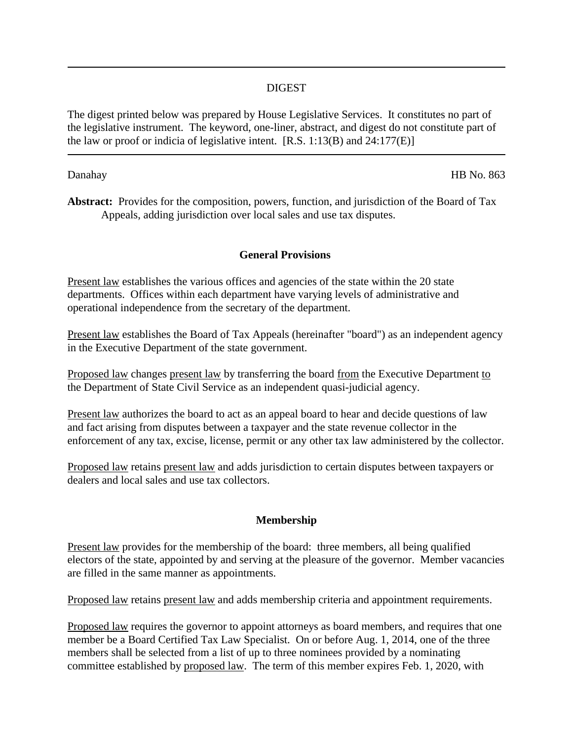## DIGEST

The digest printed below was prepared by House Legislative Services. It constitutes no part of the legislative instrument. The keyword, one-liner, abstract, and digest do not constitute part of the law or proof or indicia of legislative intent.  $[R.S. 1:13(B)$  and  $24:177(E)$ ]

Danahay HB No. 863

**Abstract:** Provides for the composition, powers, function, and jurisdiction of the Board of Tax Appeals, adding jurisdiction over local sales and use tax disputes.

## **General Provisions**

Present law establishes the various offices and agencies of the state within the 20 state departments. Offices within each department have varying levels of administrative and operational independence from the secretary of the department.

Present law establishes the Board of Tax Appeals (hereinafter "board") as an independent agency in the Executive Department of the state government.

Proposed law changes present law by transferring the board from the Executive Department to the Department of State Civil Service as an independent quasi-judicial agency.

Present law authorizes the board to act as an appeal board to hear and decide questions of law and fact arising from disputes between a taxpayer and the state revenue collector in the enforcement of any tax, excise, license, permit or any other tax law administered by the collector.

Proposed law retains present law and adds jurisdiction to certain disputes between taxpayers or dealers and local sales and use tax collectors.

### **Membership**

Present law provides for the membership of the board: three members, all being qualified electors of the state, appointed by and serving at the pleasure of the governor. Member vacancies are filled in the same manner as appointments.

Proposed law retains present law and adds membership criteria and appointment requirements.

Proposed law requires the governor to appoint attorneys as board members, and requires that one member be a Board Certified Tax Law Specialist. On or before Aug. 1, 2014, one of the three members shall be selected from a list of up to three nominees provided by a nominating committee established by proposed law. The term of this member expires Feb. 1, 2020, with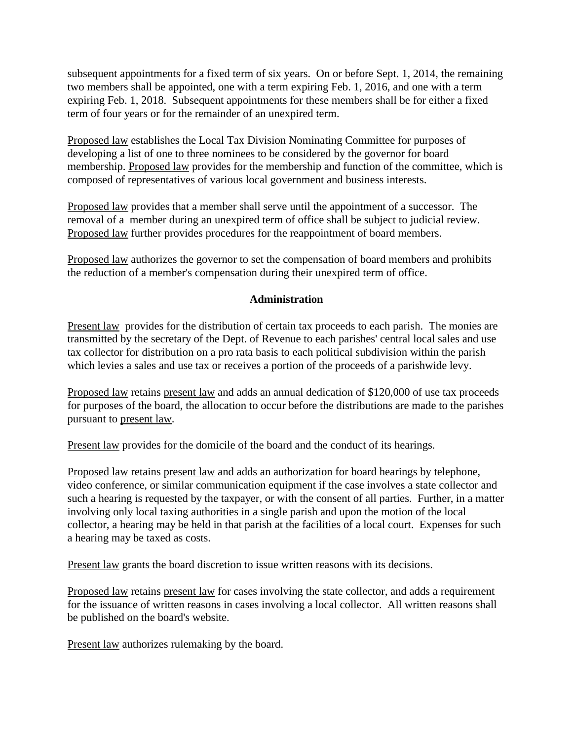subsequent appointments for a fixed term of six years. On or before Sept. 1, 2014, the remaining two members shall be appointed, one with a term expiring Feb. 1, 2016, and one with a term expiring Feb. 1, 2018. Subsequent appointments for these members shall be for either a fixed term of four years or for the remainder of an unexpired term.

Proposed law establishes the Local Tax Division Nominating Committee for purposes of developing a list of one to three nominees to be considered by the governor for board membership. Proposed law provides for the membership and function of the committee, which is composed of representatives of various local government and business interests.

Proposed law provides that a member shall serve until the appointment of a successor. The removal of a member during an unexpired term of office shall be subject to judicial review. Proposed law further provides procedures for the reappointment of board members.

Proposed law authorizes the governor to set the compensation of board members and prohibits the reduction of a member's compensation during their unexpired term of office.

# **Administration**

Present law provides for the distribution of certain tax proceeds to each parish. The monies are transmitted by the secretary of the Dept. of Revenue to each parishes' central local sales and use tax collector for distribution on a pro rata basis to each political subdivision within the parish which levies a sales and use tax or receives a portion of the proceeds of a parishwide levy.

Proposed law retains present law and adds an annual dedication of \$120,000 of use tax proceeds for purposes of the board, the allocation to occur before the distributions are made to the parishes pursuant to present law.

Present law provides for the domicile of the board and the conduct of its hearings.

Proposed law retains present law and adds an authorization for board hearings by telephone, video conference, or similar communication equipment if the case involves a state collector and such a hearing is requested by the taxpayer, or with the consent of all parties. Further, in a matter involving only local taxing authorities in a single parish and upon the motion of the local collector, a hearing may be held in that parish at the facilities of a local court. Expenses for such a hearing may be taxed as costs.

Present law grants the board discretion to issue written reasons with its decisions.

Proposed law retains present law for cases involving the state collector, and adds a requirement for the issuance of written reasons in cases involving a local collector. All written reasons shall be published on the board's website.

Present law authorizes rulemaking by the board.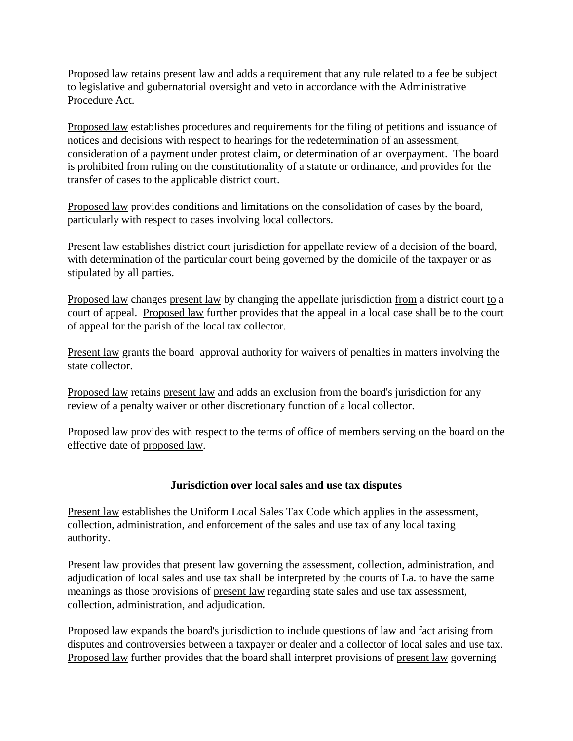Proposed law retains present law and adds a requirement that any rule related to a fee be subject to legislative and gubernatorial oversight and veto in accordance with the Administrative Procedure Act.

Proposed law establishes procedures and requirements for the filing of petitions and issuance of notices and decisions with respect to hearings for the redetermination of an assessment, consideration of a payment under protest claim, or determination of an overpayment. The board is prohibited from ruling on the constitutionality of a statute or ordinance, and provides for the transfer of cases to the applicable district court.

Proposed law provides conditions and limitations on the consolidation of cases by the board, particularly with respect to cases involving local collectors.

Present law establishes district court jurisdiction for appellate review of a decision of the board, with determination of the particular court being governed by the domicile of the taxpayer or as stipulated by all parties.

Proposed law changes present law by changing the appellate jurisdiction from a district court to a court of appeal. Proposed law further provides that the appeal in a local case shall be to the court of appeal for the parish of the local tax collector.

Present law grants the board approval authority for waivers of penalties in matters involving the state collector.

Proposed law retains present law and adds an exclusion from the board's jurisdiction for any review of a penalty waiver or other discretionary function of a local collector.

Proposed law provides with respect to the terms of office of members serving on the board on the effective date of proposed law.

# **Jurisdiction over local sales and use tax disputes**

Present law establishes the Uniform Local Sales Tax Code which applies in the assessment, collection, administration, and enforcement of the sales and use tax of any local taxing authority.

Present law provides that present law governing the assessment, collection, administration, and adjudication of local sales and use tax shall be interpreted by the courts of La. to have the same meanings as those provisions of present law regarding state sales and use tax assessment, collection, administration, and adjudication.

Proposed law expands the board's jurisdiction to include questions of law and fact arising from disputes and controversies between a taxpayer or dealer and a collector of local sales and use tax. Proposed law further provides that the board shall interpret provisions of present law governing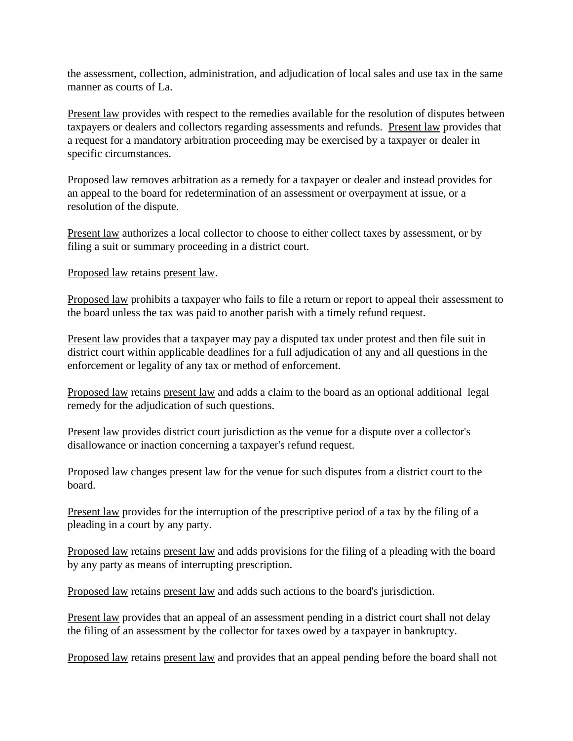the assessment, collection, administration, and adjudication of local sales and use tax in the same manner as courts of La.

Present law provides with respect to the remedies available for the resolution of disputes between taxpayers or dealers and collectors regarding assessments and refunds. Present law provides that a request for a mandatory arbitration proceeding may be exercised by a taxpayer or dealer in specific circumstances.

Proposed law removes arbitration as a remedy for a taxpayer or dealer and instead provides for an appeal to the board for redetermination of an assessment or overpayment at issue, or a resolution of the dispute.

Present law authorizes a local collector to choose to either collect taxes by assessment, or by filing a suit or summary proceeding in a district court.

Proposed law retains present law.

Proposed law prohibits a taxpayer who fails to file a return or report to appeal their assessment to the board unless the tax was paid to another parish with a timely refund request.

Present law provides that a taxpayer may pay a disputed tax under protest and then file suit in district court within applicable deadlines for a full adjudication of any and all questions in the enforcement or legality of any tax or method of enforcement.

Proposed law retains present law and adds a claim to the board as an optional additional legal remedy for the adjudication of such questions.

Present law provides district court jurisdiction as the venue for a dispute over a collector's disallowance or inaction concerning a taxpayer's refund request.

Proposed law changes present law for the venue for such disputes from a district court to the board.

Present law provides for the interruption of the prescriptive period of a tax by the filing of a pleading in a court by any party.

Proposed law retains present law and adds provisions for the filing of a pleading with the board by any party as means of interrupting prescription.

Proposed law retains present law and adds such actions to the board's jurisdiction.

Present law provides that an appeal of an assessment pending in a district court shall not delay the filing of an assessment by the collector for taxes owed by a taxpayer in bankruptcy.

Proposed law retains present law and provides that an appeal pending before the board shall not